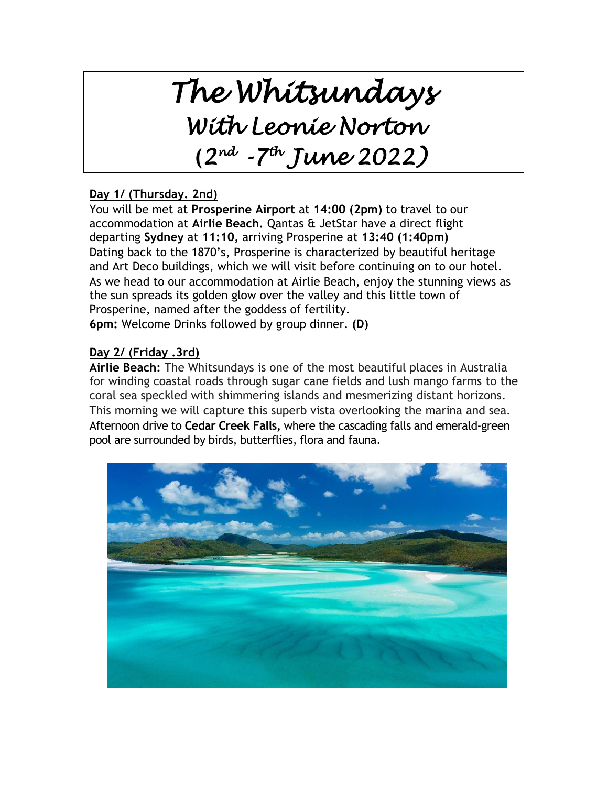# *The Whitsundays With Leonie Norton*   **(***2 nd -7 th June 2022)*

### **Day 1/ (Thursday. 2nd)**

You will be met at **Prosperine Airport** at **14:00 (2pm)** to travel to our accommodation at **Airlie Beach.** Qantas & JetStar have a direct flight departing **Sydney** at **11:10,** arriving Prosperine at **13:40 (1:40pm)** Dating back to the 1870's, Prosperine is characterized by beautiful heritage and Art Deco buildings, which we will visit before continuing on to our hotel. As we head to our accommodation at Airlie Beach, enjoy the stunning views as the sun spreads its golden glow over the valley and this little town of Prosperine, named after the goddess of fertility. **6pm:** Welcome Drinks followed by group dinner. **(D)**

#### **Day 2/ (Friday .3rd)**

**Airlie Beach:** The Whitsundays is one of the most beautiful places in Australia for winding coastal roads through sugar cane fields and lush mango farms to the coral sea speckled with shimmering islands and mesmerizing distant horizons. This morning we will capture this superb vista overlooking the marina and sea. Afternoon drive to **Cedar Creek Falls,** where the cascading falls and emerald-green pool are surrounded by birds, butterflies, flora and fauna.

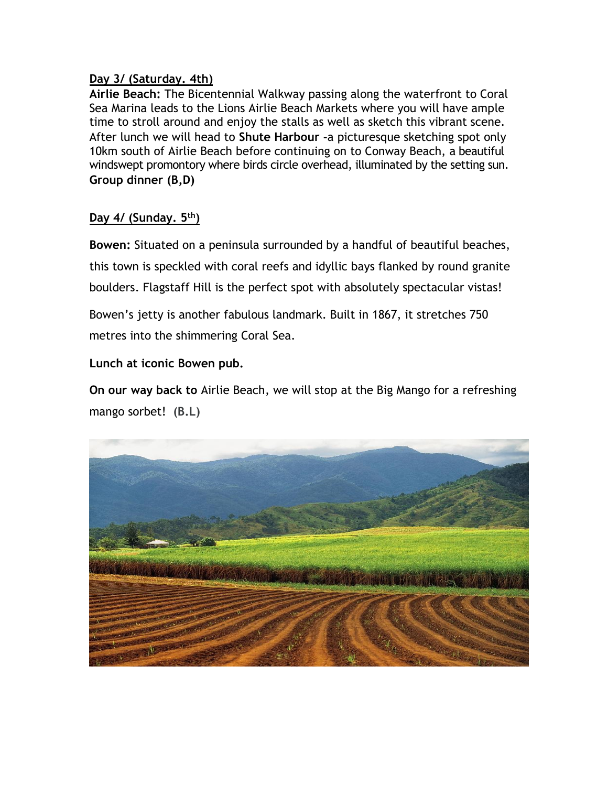#### **Day 3/ (Saturday. 4th)**

**Airlie Beach:** The Bicentennial Walkway passing along the waterfront to Coral Sea Marina leads to the Lions Airlie Beach Markets where you will have ample time to stroll around and enjoy the stalls as well as sketch this vibrant scene. After lunch we will head to **Shute Harbour -**a picturesque sketching spot only 10km south of Airlie Beach before continuing on to Conway Beach, a beautiful windswept promontory where birds circle overhead, illuminated by the setting sun. **Group dinner (B,D)**

#### **Day 4/ (Sunday. 5 th)**

**Bowen:** Situated on a peninsula surrounded by a handful of beautiful beaches, this town is speckled with coral reefs and idyllic bays flanked by round granite boulders. Flagstaff Hill is the perfect spot with absolutely spectacular vistas!

Bowen's jetty is another fabulous landmark. Built in 1867, it stretches 750 metres into the shimmering Coral Sea.

#### **Lunch at iconic Bowen pub.**

**On our way back to** Airlie Beach, we will stop at the Big Mango for a refreshing mango sorbet! **(B.L)**

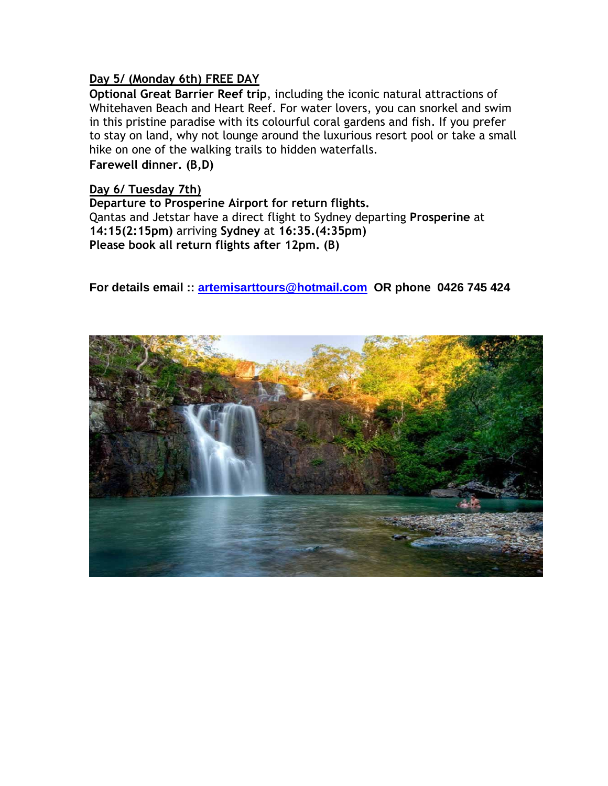#### **Day 5/ (Monday 6th) FREE DAY**

**Optional Great Barrier Reef trip**, including the iconic natural attractions of Whitehaven Beach and Heart Reef. For water lovers, you can snorkel and swim in this pristine paradise with its colourful coral gardens and fish. If you prefer to stay on land, why not lounge around the luxurious resort pool or take a small hike on one of the walking trails to hidden waterfalls.

#### **Farewell dinner. (B,D)**

#### **Day 6/ Tuesday 7th)**

**Departure to Prosperine Airport for return flights.** Qantas and Jetstar have a direct flight to Sydney departing **Prosperine** at **14:15(2:15pm)** arriving **Sydney** at **16:35.(4:35pm) Please book all return flights after 12pm. (B)**

**For details email :: [artemisarttours@hotmail.com](mailto:artemisarttours@hotmail.com) OR phone 0426 745 424**

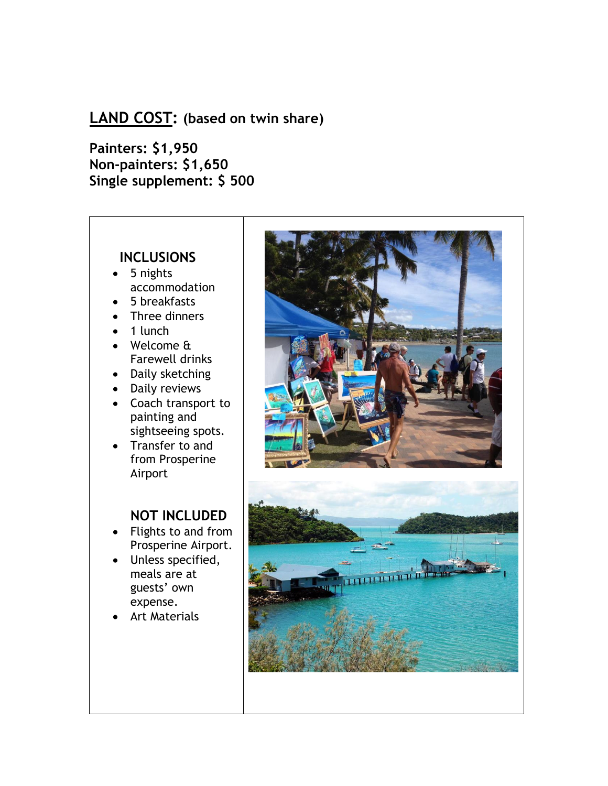# **LAND COST: (based on twin share)**

**Painters: \$1,950 Non-painters: \$1,650 Single supplement: \$ 500**

## **INCLUSIONS** • 5 nights accommodation • 5 breakfasts Three dinners • 1 lunch • Welcome & Farewell drinks • Daily sketching • Daily reviews • Coach transport to painting and sightseeing spots. • Transfer to and from Prosperine Airport  **NOT INCLUDED** • Flights to and from Prosperine Airport. • Unless specified, meals are at guests' own expense. Art Materials